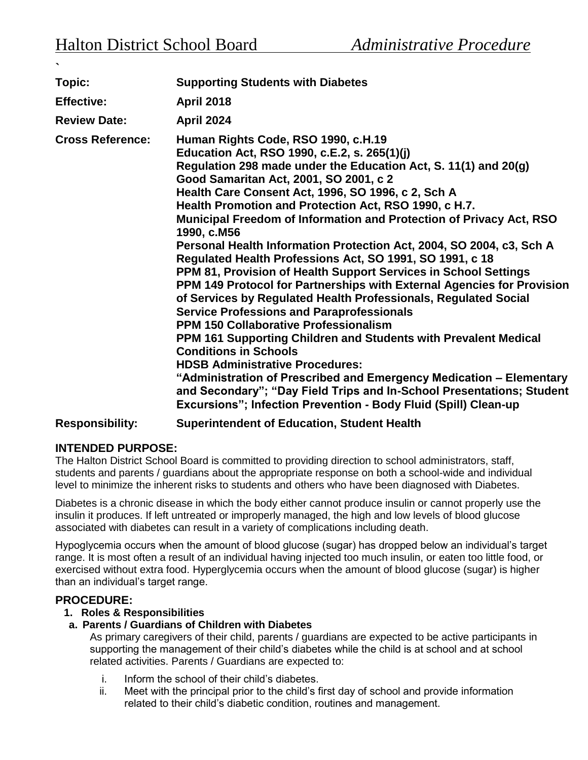| Topic:                  | <b>Supporting Students with Diabetes</b>                                                                                                                                                                                                                                                                                                                                                                                                                                                                                                                                                                                                                                                                                                                                                                                                                                                                                                                                                                                                                                                                                                                                                                                      |
|-------------------------|-------------------------------------------------------------------------------------------------------------------------------------------------------------------------------------------------------------------------------------------------------------------------------------------------------------------------------------------------------------------------------------------------------------------------------------------------------------------------------------------------------------------------------------------------------------------------------------------------------------------------------------------------------------------------------------------------------------------------------------------------------------------------------------------------------------------------------------------------------------------------------------------------------------------------------------------------------------------------------------------------------------------------------------------------------------------------------------------------------------------------------------------------------------------------------------------------------------------------------|
| <b>Effective:</b>       | <b>April 2018</b>                                                                                                                                                                                                                                                                                                                                                                                                                                                                                                                                                                                                                                                                                                                                                                                                                                                                                                                                                                                                                                                                                                                                                                                                             |
| <b>Review Date:</b>     | <b>April 2024</b>                                                                                                                                                                                                                                                                                                                                                                                                                                                                                                                                                                                                                                                                                                                                                                                                                                                                                                                                                                                                                                                                                                                                                                                                             |
| <b>Cross Reference:</b> | Human Rights Code, RSO 1990, c.H.19<br>Education Act, RSO 1990, c.E.2, s. 265(1)(j)<br>Regulation 298 made under the Education Act, S. 11(1) and 20(g)<br>Good Samaritan Act, 2001, SO 2001, c 2<br>Health Care Consent Act, 1996, SO 1996, c 2, Sch A<br>Health Promotion and Protection Act, RSO 1990, c H.7.<br>Municipal Freedom of Information and Protection of Privacy Act, RSO<br>1990, c.M56<br>Personal Health Information Protection Act, 2004, SO 2004, c3, Sch A<br>Regulated Health Professions Act, SO 1991, SO 1991, c 18<br>PPM 81, Provision of Health Support Services in School Settings<br>PPM 149 Protocol for Partnerships with External Agencies for Provision<br>of Services by Regulated Health Professionals, Regulated Social<br><b>Service Professions and Paraprofessionals</b><br><b>PPM 150 Collaborative Professionalism</b><br>PPM 161 Supporting Children and Students with Prevalent Medical<br><b>Conditions in Schools</b><br><b>HDSB Administrative Procedures:</b><br>"Administration of Prescribed and Emergency Medication – Elementary<br>and Secondary"; "Day Field Trips and In-School Presentations; Student<br>Excursions"; Infection Prevention - Body Fluid (Spill) Clean-up |

## **Responsibility: Superintendent of Education, Student Health**

# **INTENDED PURPOSE:**

The Halton District School Board is committed to providing direction to school administrators, staff, students and parents / guardians about the appropriate response on both a school-wide and individual level to minimize the inherent risks to students and others who have been diagnosed with Diabetes.

Diabetes is a chronic disease in which the body either cannot produce insulin or cannot properly use the insulin it produces. If left untreated or improperly managed, the high and low levels of blood glucose associated with diabetes can result in a variety of complications including death.

Hypoglycemia occurs when the amount of blood glucose (sugar) has dropped below an individual's target range. It is most often a result of an individual having injected too much insulin, or eaten too little food, or exercised without extra food. Hyperglycemia occurs when the amount of blood glucose (sugar) is higher than an individual's target range.

## **PROCEDURE:**

## **1. Roles & Responsibilities**

## **a. Parents / Guardians of Children with Diabetes**

As primary caregivers of their child, parents / guardians are expected to be active participants in supporting the management of their child's diabetes while the child is at school and at school related activities. Parents / Guardians are expected to:

- i. Inform the school of their child's diabetes.
- ii. Meet with the principal prior to the child's first day of school and provide information related to their child's diabetic condition, routines and management.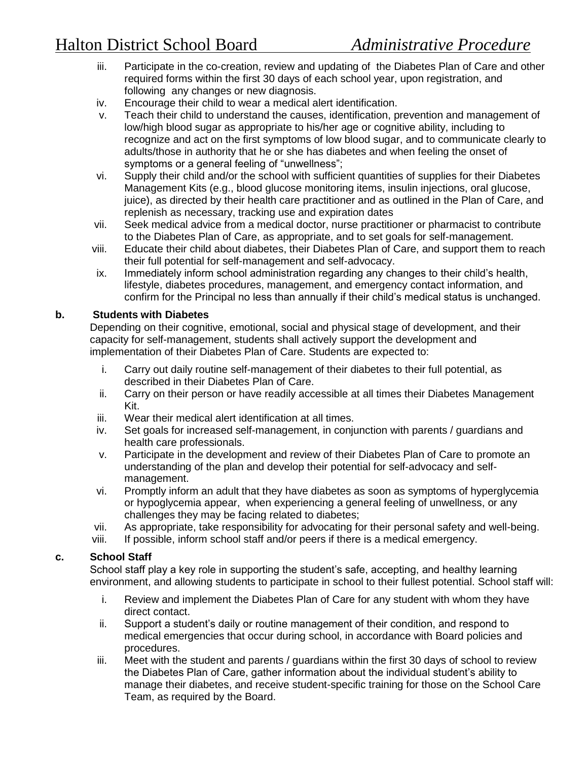- iii. Participate in the co-creation, review and updating of the Diabetes Plan of Care and other required forms within the first 30 days of each school year, upon registration, and following any changes or new diagnosis.
- iv. Encourage their child to wear a medical alert identification.
- v. Teach their child to understand the causes, identification, prevention and management of low/high blood sugar as appropriate to his/her age or cognitive ability, including to recognize and act on the first symptoms of low blood sugar, and to communicate clearly to adults/those in authority that he or she has diabetes and when feeling the onset of symptoms or a general feeling of "unwellness";
- vi. Supply their child and/or the school with sufficient quantities of supplies for their Diabetes Management Kits (e.g., blood glucose monitoring items, insulin injections, oral glucose, juice), as directed by their health care practitioner and as outlined in the Plan of Care, and replenish as necessary, tracking use and expiration dates
- vii. Seek medical advice from a medical doctor, nurse practitioner or pharmacist to contribute to the Diabetes Plan of Care, as appropriate, and to set goals for self-management.
- viii. Educate their child about diabetes, their Diabetes Plan of Care, and support them to reach their full potential for self-management and self-advocacy.
- ix. Immediately inform school administration regarding any changes to their child's health, lifestyle, diabetes procedures, management, and emergency contact information, and confirm for the Principal no less than annually if their child's medical status is unchanged.

#### **b. Students with Diabetes**

Depending on their cognitive, emotional, social and physical stage of development, and their capacity for self-management, students shall actively support the development and implementation of their Diabetes Plan of Care. Students are expected to:

- i. Carry out daily routine self-management of their diabetes to their full potential, as described in their Diabetes Plan of Care.
- ii. Carry on their person or have readily accessible at all times their Diabetes Management Kit.
- iii. Wear their medical alert identification at all times.
- iv. Set goals for increased self-management, in conjunction with parents / guardians and health care professionals.
- v. Participate in the development and review of their Diabetes Plan of Care to promote an understanding of the plan and develop their potential for self-advocacy and selfmanagement.
- vi. Promptly inform an adult that they have diabetes as soon as symptoms of hyperglycemia or hypoglycemia appear, when experiencing a general feeling of unwellness, or any challenges they may be facing related to diabetes;
- vii. As appropriate, take responsibility for advocating for their personal safety and well-being.
- viii. If possible, inform school staff and/or peers if there is a medical emergency.

## **c. School Staff**

School staff play a key role in supporting the student's safe, accepting, and healthy learning environment, and allowing students to participate in school to their fullest potential. School staff will:

- i. Review and implement the Diabetes Plan of Care for any student with whom they have direct contact.
- ii. Support a student's daily or routine management of their condition, and respond to medical emergencies that occur during school, in accordance with Board policies and procedures.
- iii. Meet with the student and parents / guardians within the first 30 days of school to review the Diabetes Plan of Care, gather information about the individual student's ability to manage their diabetes, and receive student-specific training for those on the School Care Team, as required by the Board.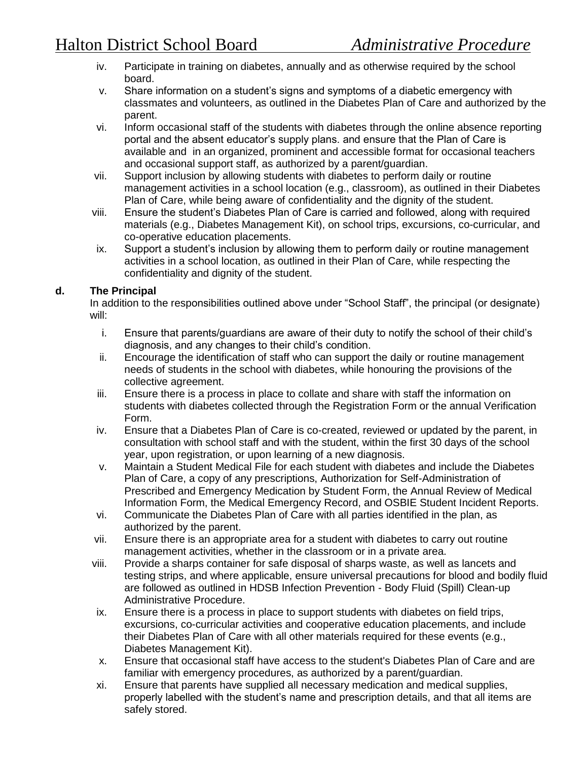- iv. Participate in training on diabetes, annually and as otherwise required by the school board.
- v. Share information on a student's signs and symptoms of a diabetic emergency with classmates and volunteers, as outlined in the Diabetes Plan of Care and authorized by the parent.
- vi. Inform occasional staff of the students with diabetes through the online absence reporting portal and the absent educator's supply plans. and ensure that the Plan of Care is available and in an organized, prominent and accessible format for occasional teachers and occasional support staff, as authorized by a parent/guardian.
- vii. Support inclusion by allowing students with diabetes to perform daily or routine management activities in a school location (e.g., classroom), as outlined in their Diabetes Plan of Care, while being aware of confidentiality and the dignity of the student.
- viii. Ensure the student's Diabetes Plan of Care is carried and followed, along with required materials (e.g., Diabetes Management Kit), on school trips, excursions, co-curricular, and co-operative education placements.
- ix. Support a student's inclusion by allowing them to perform daily or routine management activities in a school location, as outlined in their Plan of Care, while respecting the confidentiality and dignity of the student.

## **d. The Principal**

In addition to the responsibilities outlined above under "School Staff", the principal (or designate) will:

- i. Ensure that parents/guardians are aware of their duty to notify the school of their child's diagnosis, and any changes to their child's condition.
- ii. Encourage the identification of staff who can support the daily or routine management needs of students in the school with diabetes, while honouring the provisions of the collective agreement.
- iii. Ensure there is a process in place to collate and share with staff the information on students with diabetes collected through the Registration Form or the annual Verification Form.
- iv. Ensure that a Diabetes Plan of Care is co-created, reviewed or updated by the parent, in consultation with school staff and with the student, within the first 30 days of the school year, upon registration, or upon learning of a new diagnosis.
- v. Maintain a Student Medical File for each student with diabetes and include the Diabetes Plan of Care, a copy of any prescriptions, Authorization for Self-Administration of Prescribed and Emergency Medication by Student Form, the Annual Review of Medical Information Form, the Medical Emergency Record, and OSBIE Student Incident Reports.
- vi. Communicate the Diabetes Plan of Care with all parties identified in the plan, as authorized by the parent.
- vii. Ensure there is an appropriate area for a student with diabetes to carry out routine management activities, whether in the classroom or in a private area.
- viii. Provide a sharps container for safe disposal of sharps waste, as well as lancets and testing strips, and where applicable, ensure universal precautions for blood and bodily fluid are followed as outlined in HDSB Infection Prevention - Body Fluid (Spill) Clean-up Administrative Procedure.
- ix. Ensure there is a process in place to support students with diabetes on field trips, excursions, co-curricular activities and cooperative education placements, and include their Diabetes Plan of Care with all other materials required for these events (e.g., Diabetes Management Kit).
- x. Ensure that occasional staff have access to the student's Diabetes Plan of Care and are familiar with emergency procedures, as authorized by a parent/guardian.
- xi. Ensure that parents have supplied all necessary medication and medical supplies, properly labelled with the student's name and prescription details, and that all items are safely stored.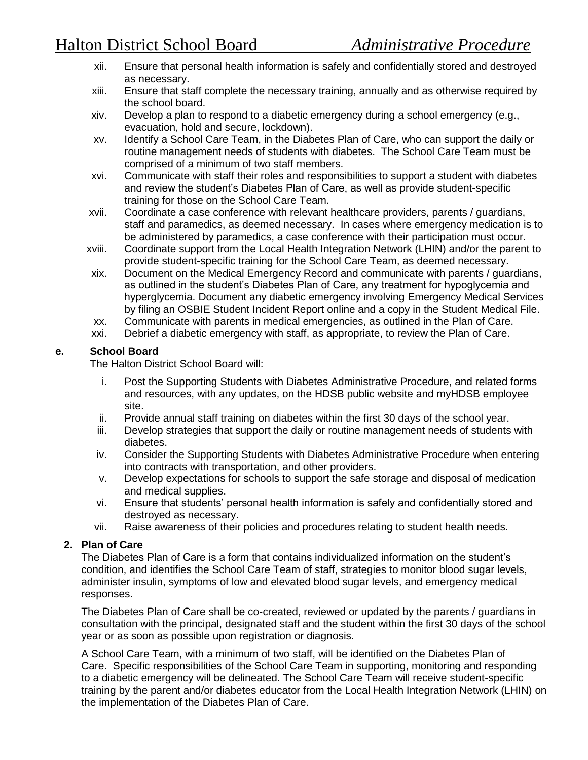- xii. Ensure that personal health information is safely and confidentially stored and destroyed as necessary.
- xiii. Ensure that staff complete the necessary training, annually and as otherwise required by the school board.
- xiv. Develop a plan to respond to a diabetic emergency during a school emergency (e.g., evacuation, hold and secure, lockdown).
- xv. Identify a School Care Team, in the Diabetes Plan of Care, who can support the daily or routine management needs of students with diabetes. The School Care Team must be comprised of a minimum of two staff members.
- xvi. Communicate with staff their roles and responsibilities to support a student with diabetes and review the student's Diabetes Plan of Care, as well as provide student-specific training for those on the School Care Team.
- xvii. Coordinate a case conference with relevant healthcare providers, parents / guardians, staff and paramedics, as deemed necessary. In cases where emergency medication is to be administered by paramedics, a case conference with their participation must occur.
- xviii. Coordinate support from the Local Health Integration Network (LHIN) and/or the parent to provide student-specific training for the School Care Team, as deemed necessary.
- xix. Document on the Medical Emergency Record and communicate with parents / guardians, as outlined in the student's Diabetes Plan of Care, any treatment for hypoglycemia and hyperglycemia. Document any diabetic emergency involving Emergency Medical Services by filing an OSBIE Student Incident Report online and a copy in the Student Medical File.
- xx. Communicate with parents in medical emergencies, as outlined in the Plan of Care.
- xxi. Debrief a diabetic emergency with staff, as appropriate, to review the Plan of Care.

#### **e. School Board**

The Halton District School Board will:

- i. Post the Supporting Students with Diabetes Administrative Procedure, and related forms and resources, with any updates, on the HDSB public website and myHDSB employee site.
- ii. Provide annual staff training on diabetes within the first 30 days of the school year.
- iii. Develop strategies that support the daily or routine management needs of students with diabetes.
- iv. Consider the Supporting Students with Diabetes Administrative Procedure when entering into contracts with transportation, and other providers.
- v. Develop expectations for schools to support the safe storage and disposal of medication and medical supplies.
- vi. Ensure that students' personal health information is safely and confidentially stored and destroyed as necessary.
- vii. Raise awareness of their policies and procedures relating to student health needs.

## **2. Plan of Care**

The Diabetes Plan of Care is a form that contains individualized information on the student's condition, and identifies the School Care Team of staff, strategies to monitor blood sugar levels, administer insulin, symptoms of low and elevated blood sugar levels, and emergency medical responses.

The Diabetes Plan of Care shall be co-created, reviewed or updated by the parents / guardians in consultation with the principal, designated staff and the student within the first 30 days of the school year or as soon as possible upon registration or diagnosis.

A School Care Team, with a minimum of two staff, will be identified on the Diabetes Plan of Care. Specific responsibilities of the School Care Team in supporting, monitoring and responding to a diabetic emergency will be delineated. The School Care Team will receive student-specific training by the parent and/or diabetes educator from the Local Health Integration Network (LHIN) on the implementation of the Diabetes Plan of Care.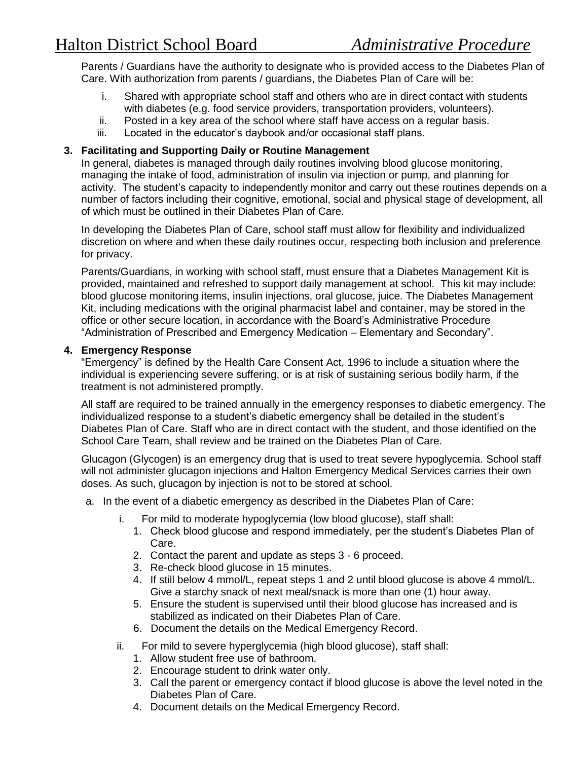Parents / Guardians have the authority to designate who is provided access to the Diabetes Plan of Care. With authorization from parents / guardians, the Diabetes Plan of Care will be:

- i. Shared with appropriate school staff and others who are in direct contact with students with diabetes (e.g. food service providers, transportation providers, volunteers).
- ii. Posted in a key area of the school where staff have access on a regular basis.
- iii. Located in the educator's daybook and/or occasional staff plans.

### **3. Facilitating and Supporting Daily or Routine Management**

In general, diabetes is managed through daily routines involving blood glucose monitoring, managing the intake of food, administration of insulin via injection or pump, and planning for activity. The student's capacity to independently monitor and carry out these routines depends on a number of factors including their cognitive, emotional, social and physical stage of development, all of which must be outlined in their Diabetes Plan of Care.

In developing the Diabetes Plan of Care, school staff must allow for flexibility and individualized discretion on where and when these daily routines occur, respecting both inclusion and preference for privacy.

Parents/Guardians, in working with school staff, must ensure that a Diabetes Management Kit is provided, maintained and refreshed to support daily management at school. This kit may include: blood glucose monitoring items, insulin injections, oral glucose, juice. The Diabetes Management Kit, including medications with the original pharmacist label and container, may be stored in the office or other secure location, in accordance with the Board's Administrative Procedure "Administration of Prescribed and Emergency Medication – Elementary and Secondary".

#### **4. Emergency Response**

"Emergency" is defined by the Health Care Consent Act, 1996 to include a situation where the individual is experiencing severe suffering, or is at risk of sustaining serious bodily harm, if the treatment is not administered promptly.

All staff are required to be trained annually in the emergency responses to diabetic emergency. The individualized response to a student's diabetic emergency shall be detailed in the student's Diabetes Plan of Care. Staff who are in direct contact with the student, and those identified on the School Care Team, shall review and be trained on the Diabetes Plan of Care.

Glucagon (Glycogen) is an emergency drug that is used to treat severe hypoglycemia. School staff will not administer glucagon injections and Halton Emergency Medical Services carries their own doses. As such, glucagon by injection is not to be stored at school.

- a. In the event of a diabetic emergency as described in the Diabetes Plan of Care:
	- i. For mild to moderate hypoglycemia (low blood glucose), staff shall:
		- 1. Check blood glucose and respond immediately, per the student's Diabetes Plan of Care.
		- 2. Contact the parent and update as steps 3 6 proceed.
		- 3. Re-check blood glucose in 15 minutes.
		- 4. If still below 4 mmol/L, repeat steps 1 and 2 until blood glucose is above 4 mmol/L. Give a starchy snack of next meal/snack is more than one (1) hour away.
		- 5. Ensure the student is supervised until their blood glucose has increased and is stabilized as indicated on their Diabetes Plan of Care.
		- 6. Document the details on the Medical Emergency Record.
	- ii. For mild to severe hyperglycemia (high blood glucose), staff shall:
		- 1. Allow student free use of bathroom.
		- 2. Encourage student to drink water only.
		- 3. Call the parent or emergency contact if blood glucose is above the level noted in the Diabetes Plan of Care.
		- 4. Document details on the Medical Emergency Record.